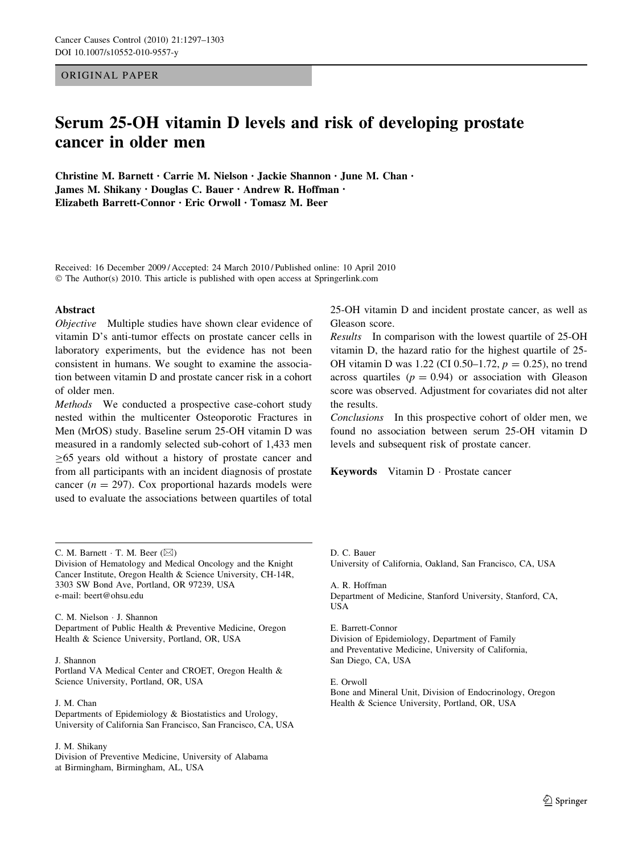## ORIGINAL PAPER

# Serum 25-OH vitamin D levels and risk of developing prostate cancer in older men

Christine M. Barnett • Carrie M. Nielson • Jackie Shannon • June M. Chan • James M. Shikany • Douglas C. Bauer • Andrew R. Hoffman • Elizabeth Barrett-Connor • Eric Orwoll • Tomasz M. Beer

Received: 16 December 2009 / Accepted: 24 March 2010 / Published online: 10 April 2010 © The Author(s) 2010. This article is published with open access at Springerlink.com

## Abstract

Objective Multiple studies have shown clear evidence of vitamin D's anti-tumor effects on prostate cancer cells in laboratory experiments, but the evidence has not been consistent in humans. We sought to examine the association between vitamin D and prostate cancer risk in a cohort of older men.

Methods We conducted a prospective case-cohort study nested within the multicenter Osteoporotic Fractures in Men (MrOS) study. Baseline serum 25-OH vitamin D was measured in a randomly selected sub-cohort of 1,433 men  $\geq 65$  years old without a history of prostate cancer and from all participants with an incident diagnosis of prostate cancer ( $n = 297$ ). Cox proportional hazards models were used to evaluate the associations between quartiles of total

C. M. Barnett  $\cdot$  T. M. Beer ( $\boxtimes$ )

Division of Hematology and Medical Oncology and the Knight Cancer Institute, Oregon Health & Science University, CH-14R, 3303 SW Bond Ave, Portland, OR 97239, USA e-mail: beert@ohsu.edu

C. M. Nielson - J. Shannon Department of Public Health & Preventive Medicine, Oregon Health & Science University, Portland, OR, USA

## J. Shannon

Portland VA Medical Center and CROET, Oregon Health & Science University, Portland, OR, USA

## J. M. Chan

Departments of Epidemiology & Biostatistics and Urology, University of California San Francisco, San Francisco, CA, USA

## J. M. Shikany

Division of Preventive Medicine, University of Alabama at Birmingham, Birmingham, AL, USA

25-OH vitamin D and incident prostate cancer, as well as Gleason score.

Results In comparison with the lowest quartile of 25-OH vitamin D, the hazard ratio for the highest quartile of 25- OH vitamin D was 1.22 (CI 0.50–1.72,  $p = 0.25$ ), no trend across quartiles ( $p = 0.94$ ) or association with Gleason score was observed. Adjustment for covariates did not alter the results.

Conclusions In this prospective cohort of older men, we found no association between serum 25-OH vitamin D levels and subsequent risk of prostate cancer.

Keywords Vitamin D · Prostate cancer

D. C. Bauer

University of California, Oakland, San Francisco, CA, USA

A. R. Hoffman Department of Medicine, Stanford University, Stanford, CA, USA

E. Barrett-Connor Division of Epidemiology, Department of Family and Preventative Medicine, University of California, San Diego, CA, USA

E. Orwoll

Bone and Mineral Unit, Division of Endocrinology, Oregon Health & Science University, Portland, OR, USA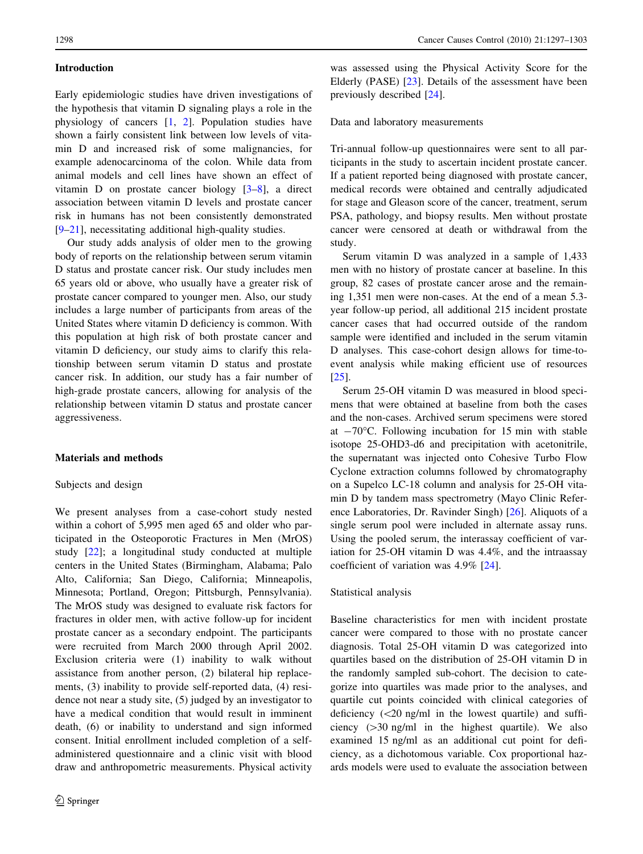## Introduction

Early epidemiologic studies have driven investigations of the hypothesis that vitamin D signaling plays a role in the physiology of cancers [[1,](#page-5-0) [2\]](#page-5-0). Population studies have shown a fairly consistent link between low levels of vitamin D and increased risk of some malignancies, for example adenocarcinoma of the colon. While data from animal models and cell lines have shown an effect of vitamin D on prostate cancer biology [\[3](#page-5-0)[–8](#page-6-0)], a direct association between vitamin D levels and prostate cancer risk in humans has not been consistently demonstrated [\[9–21](#page-6-0)], necessitating additional high-quality studies.

Our study adds analysis of older men to the growing body of reports on the relationship between serum vitamin D status and prostate cancer risk. Our study includes men 65 years old or above, who usually have a greater risk of prostate cancer compared to younger men. Also, our study includes a large number of participants from areas of the United States where vitamin D deficiency is common. With this population at high risk of both prostate cancer and vitamin D deficiency, our study aims to clarify this relationship between serum vitamin D status and prostate cancer risk. In addition, our study has a fair number of high-grade prostate cancers, allowing for analysis of the relationship between vitamin D status and prostate cancer aggressiveness.

## Materials and methods

## Subjects and design

We present analyses from a case-cohort study nested within a cohort of 5,995 men aged 65 and older who participated in the Osteoporotic Fractures in Men (MrOS) study [[22\]](#page-6-0); a longitudinal study conducted at multiple centers in the United States (Birmingham, Alabama; Palo Alto, California; San Diego, California; Minneapolis, Minnesota; Portland, Oregon; Pittsburgh, Pennsylvania). The MrOS study was designed to evaluate risk factors for fractures in older men, with active follow-up for incident prostate cancer as a secondary endpoint. The participants were recruited from March 2000 through April 2002. Exclusion criteria were (1) inability to walk without assistance from another person, (2) bilateral hip replacements, (3) inability to provide self-reported data, (4) residence not near a study site, (5) judged by an investigator to have a medical condition that would result in imminent death, (6) or inability to understand and sign informed consent. Initial enrollment included completion of a selfadministered questionnaire and a clinic visit with blood draw and anthropometric measurements. Physical activity

was assessed using the Physical Activity Score for the Elderly (PASE) [[23\]](#page-6-0). Details of the assessment have been previously described [[24\]](#page-6-0).

Data and laboratory measurements

Tri-annual follow-up questionnaires were sent to all participants in the study to ascertain incident prostate cancer. If a patient reported being diagnosed with prostate cancer, medical records were obtained and centrally adjudicated for stage and Gleason score of the cancer, treatment, serum PSA, pathology, and biopsy results. Men without prostate cancer were censored at death or withdrawal from the study.

Serum vitamin D was analyzed in a sample of 1,433 men with no history of prostate cancer at baseline. In this group, 82 cases of prostate cancer arose and the remaining 1,351 men were non-cases. At the end of a mean 5.3 year follow-up period, all additional 215 incident prostate cancer cases that had occurred outside of the random sample were identified and included in the serum vitamin D analyses. This case-cohort design allows for time-toevent analysis while making efficient use of resources [\[25](#page-6-0)].

Serum 25-OH vitamin D was measured in blood specimens that were obtained at baseline from both the cases and the non-cases. Archived serum specimens were stored at  $-70^{\circ}$ C. Following incubation for 15 min with stable isotope 25-OHD3-d6 and precipitation with acetonitrile, the supernatant was injected onto Cohesive Turbo Flow Cyclone extraction columns followed by chromatography on a Supelco LC-18 column and analysis for 25-OH vitamin D by tandem mass spectrometry (Mayo Clinic Reference Laboratories, Dr. Ravinder Singh) [\[26](#page-6-0)]. Aliquots of a single serum pool were included in alternate assay runs. Using the pooled serum, the interassay coefficient of variation for 25-OH vitamin D was 4.4%, and the intraassay coefficient of variation was 4.9% [[24\]](#page-6-0).

#### Statistical analysis

Baseline characteristics for men with incident prostate cancer were compared to those with no prostate cancer diagnosis. Total 25-OH vitamin D was categorized into quartiles based on the distribution of 25-OH vitamin D in the randomly sampled sub-cohort. The decision to categorize into quartiles was made prior to the analyses, and quartile cut points coincided with clinical categories of deficiency  $\langle$  <20 ng/ml in the lowest quartile) and sufficiency  $(>=30 \text{ ng/ml}$  in the highest quartile). We also examined 15 ng/ml as an additional cut point for deficiency, as a dichotomous variable. Cox proportional hazards models were used to evaluate the association between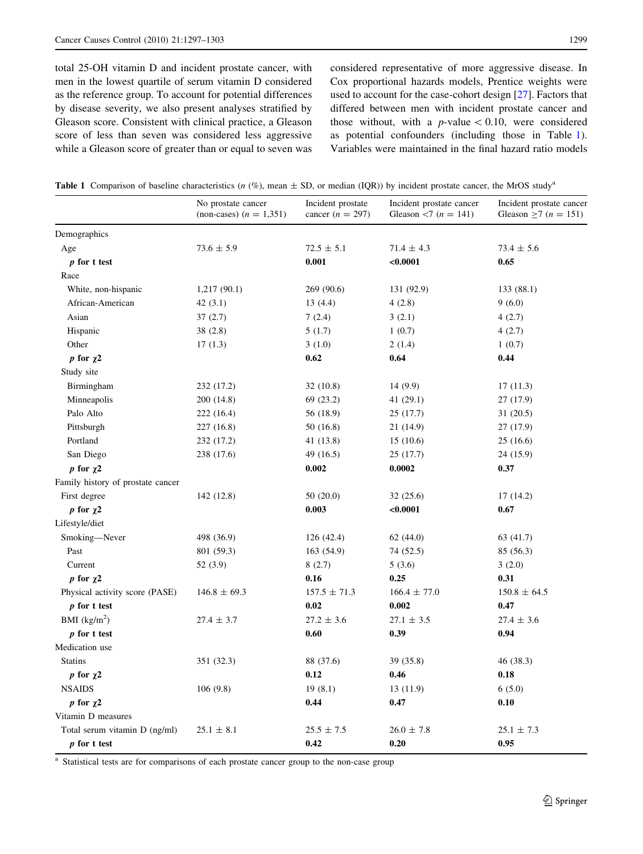<span id="page-2-0"></span>total 25-OH vitamin D and incident prostate cancer, with men in the lowest quartile of serum vitamin D considered as the reference group. To account for potential differences by disease severity, we also present analyses stratified by Gleason score. Consistent with clinical practice, a Gleason score of less than seven was considered less aggressive while a Gleason score of greater than or equal to seven was considered representative of more aggressive disease. In Cox proportional hazards models, Prentice weights were used to account for the case-cohort design [\[27](#page-6-0)]. Factors that differed between men with incident prostate cancer and those without, with a  $p$ -value  $\lt$  0.10, were considered as potential confounders (including those in Table 1). Variables were maintained in the final hazard ratio models

|  |  |  |  |  | Table 1 Comparison of baseline characteristics ( $n$ (%), mean $\pm$ SD, or median (IQR)) by incident prostate cancer, the MrOS study <sup>4</sup> |  |
|--|--|--|--|--|----------------------------------------------------------------------------------------------------------------------------------------------------|--|
|--|--|--|--|--|----------------------------------------------------------------------------------------------------------------------------------------------------|--|

|                                   | No prostate cancer<br>(non-cases) $(n = 1,351)$ | Incident prostate<br>cancer $(n = 297)$ | Incident prostate cancer<br>Gleason <7 ( $n = 141$ ) | Incident prostate cancer<br>Gleason $\geq 7$ ( <i>n</i> = 151) |
|-----------------------------------|-------------------------------------------------|-----------------------------------------|------------------------------------------------------|----------------------------------------------------------------|
| Demographics                      |                                                 |                                         |                                                      |                                                                |
| Age                               | $73.6 \pm 5.9$                                  | $72.5 \pm 5.1$                          | $71.4 \pm 4.3$                                       | $73.4 \pm 5.6$                                                 |
| $p$ for t test                    |                                                 | 0.001                                   | < 0.0001                                             | 0.65                                                           |
| Race                              |                                                 |                                         |                                                      |                                                                |
| White, non-hispanic               | 1,217(90.1)                                     | 269 (90.6)                              | 131 (92.9)                                           | 133 (88.1)                                                     |
| African-American                  | 42 $(3.1)$                                      | 13(4.4)                                 | 4(2.8)                                               | 9(6.0)                                                         |
| Asian                             | 37(2.7)                                         | 7(2.4)                                  | 3(2.1)                                               | 4(2.7)                                                         |
| Hispanic                          | 38(2.8)                                         | 5(1.7)                                  | 1(0.7)                                               | 4(2.7)                                                         |
| Other                             | 17(1.3)                                         | 3(1.0)                                  | 2(1.4)                                               | 1(0.7)                                                         |
| p for $\chi$ 2                    |                                                 | 0.62                                    | 0.64                                                 | 0.44                                                           |
| Study site                        |                                                 |                                         |                                                      |                                                                |
| Birmingham                        | 232 (17.2)                                      | 32(10.8)                                | 14 (9.9)                                             | 17(11.3)                                                       |
| Minneapolis                       | 200 (14.8)                                      | 69 (23.2)                               | 41 (29.1)                                            | 27 (17.9)                                                      |
| Palo Alto                         | 222 (16.4)                                      | 56 (18.9)                               | 25(17.7)                                             | 31(20.5)                                                       |
| Pittsburgh                        | 227 (16.8)                                      | 50 (16.8)                               | 21 (14.9)                                            | 27 (17.9)                                                      |
| Portland                          | 232 (17.2)                                      | 41 (13.8)                               | 15(10.6)                                             | 25(16.6)                                                       |
| San Diego                         | 238 (17.6)                                      | 49 (16.5)                               | 25 (17.7)                                            | 24 (15.9)                                                      |
| p for $\chi$ 2                    |                                                 | 0.002                                   | 0.0002                                               | 0.37                                                           |
| Family history of prostate cancer |                                                 |                                         |                                                      |                                                                |
| First degree                      | 142 (12.8)                                      | 50(20.0)                                | 32(25.6)                                             | 17(14.2)                                                       |
| p for $\chi$ 2                    |                                                 | 0.003                                   | $0.0001$                                             | 0.67                                                           |
| Lifestyle/diet                    |                                                 |                                         |                                                      |                                                                |
| Smoking-Never                     | 498 (36.9)                                      | 126(42.4)                               | 62(44.0)                                             | 63 (41.7)                                                      |
| Past                              | 801 (59.3)                                      | 163 (54.9)                              | 74 (52.5)                                            | 85 (56.3)                                                      |
| Current                           | 52 (3.9)                                        | 8(2.7)                                  | 5(3.6)                                               | 3(2.0)                                                         |
| p for $\gamma$ 2                  |                                                 | 0.16                                    | 0.25                                                 | 0.31                                                           |
| Physical activity score (PASE)    | $146.8 \pm 69.3$                                | $157.5 \pm 71.3$                        | $166.4 \pm 77.0$                                     | $150.8 \pm 64.5$                                               |
| $p$ for t test                    |                                                 | 0.02                                    | 0.002                                                | 0.47                                                           |
| BMI $(kg/m2)$                     | $27.4 \pm 3.7$                                  | $27.2 \pm 3.6$                          | $27.1 \pm 3.5$                                       | $27.4 \pm 3.6$                                                 |
| p for t test                      |                                                 | 0.60                                    | 0.39                                                 | 0.94                                                           |
| Medication use                    |                                                 |                                         |                                                      |                                                                |
| <b>Statins</b>                    | 351 (32.3)                                      | 88 (37.6)                               | 39 (35.8)                                            | 46 (38.3)                                                      |
| p for $\chi^2$                    |                                                 | 0.12                                    | 0.46                                                 | 0.18                                                           |
| <b>NSAIDS</b>                     | 106(9.8)                                        | 19(8.1)                                 | 13(11.9)                                             | 6(5.0)                                                         |
| p for $\chi$ 2                    |                                                 | 0.44                                    | 0.47                                                 | 0.10                                                           |
| Vitamin D measures                |                                                 |                                         |                                                      |                                                                |
| Total serum vitamin D (ng/ml)     | $25.1 \pm 8.1$                                  | $25.5 \pm 7.5$                          | $26.0 \pm 7.8$                                       | $25.1 \pm 7.3$                                                 |
| p for t test                      |                                                 | 0.42                                    | 0.20                                                 | 0.95                                                           |

<sup>a</sup> Statistical tests are for comparisons of each prostate cancer group to the non-case group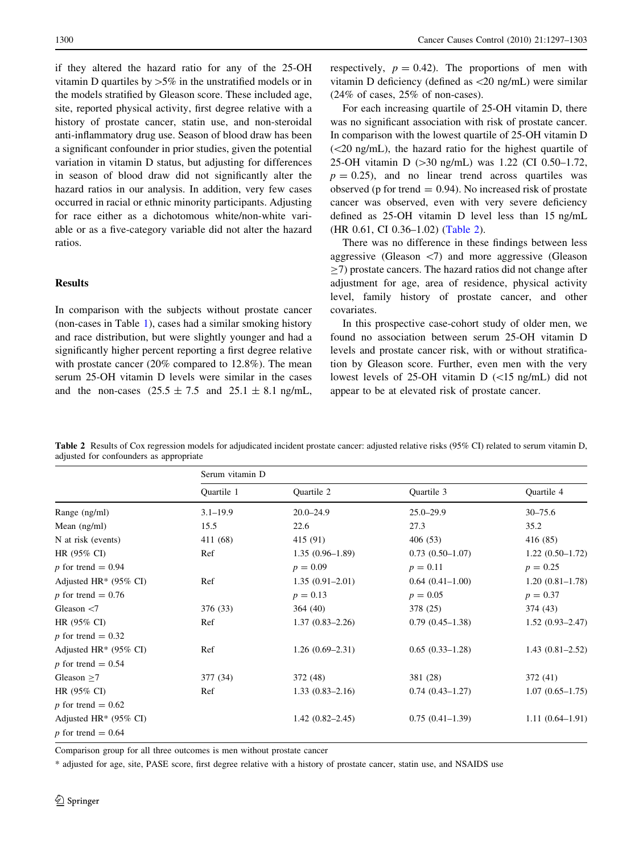if they altered the hazard ratio for any of the 25-OH vitamin D quartiles by  $>5\%$  in the unstratified models or in the models stratified by Gleason score. These included age, site, reported physical activity, first degree relative with a history of prostate cancer, statin use, and non-steroidal anti-inflammatory drug use. Season of blood draw has been a significant confounder in prior studies, given the potential variation in vitamin D status, but adjusting for differences in season of blood draw did not significantly alter the hazard ratios in our analysis. In addition, very few cases occurred in racial or ethnic minority participants. Adjusting for race either as a dichotomous white/non-white variable or as a five-category variable did not alter the hazard ratios.

## Results

In comparison with the subjects without prostate cancer (non-cases in Table [1\)](#page-2-0), cases had a similar smoking history and race distribution, but were slightly younger and had a significantly higher percent reporting a first degree relative with prostate cancer (20% compared to 12.8%). The mean serum 25-OH vitamin D levels were similar in the cases and the non-cases  $(25.5 \pm 7.5 \text{ and } 25.1 \pm 8.1 \text{ ng/mL}$ , respectively,  $p = 0.42$ . The proportions of men with vitamin D deficiency (defined as\20 ng/mL) were similar (24% of cases, 25% of non-cases).

For each increasing quartile of 25-OH vitamin D, there was no significant association with risk of prostate cancer. In comparison with the lowest quartile of 25-OH vitamin D  $(<20$  ng/mL), the hazard ratio for the highest quartile of 25-OH vitamin D  $(>30 \text{ ng/mL})$  was 1.22 (CI 0.50–1.72,  $p = 0.25$ , and no linear trend across quartiles was observed (p for trend  $= 0.94$ ). No increased risk of prostate cancer was observed, even with very severe deficiency defined as 25-OH vitamin D level less than 15 ng/mL (HR 0.61, CI 0.36–1.02) (Table 2).

There was no difference in these findings between less aggressive (Gleason  $\langle 7 \rangle$  and more aggressive (Gleason  $>$ 7) prostate cancers. The hazard ratios did not change after adjustment for age, area of residence, physical activity level, family history of prostate cancer, and other covariates.

In this prospective case-cohort study of older men, we found no association between serum 25-OH vitamin D levels and prostate cancer risk, with or without stratification by Gleason score. Further, even men with the very lowest levels of 25-OH vitamin  $D$  ( $\lt 15$  ng/mL) did not appear to be at elevated risk of prostate cancer.

Table 2 Results of Cox regression models for adjudicated incident prostate cancer: adjusted relative risks (95% CI) related to serum vitamin D, adjusted for confounders as appropriate

|                          | Serum vitamin D |                     |                     |                     |  |  |
|--------------------------|-----------------|---------------------|---------------------|---------------------|--|--|
|                          | Ouartile 1      | Quartile 2          | Quartile 3          | Quartile 4          |  |  |
| Range (ng/ml)            | $3.1 - 19.9$    | $20.0 - 24.9$       | $25.0 - 29.9$       | $30 - 75.6$         |  |  |
| Mean $(ng/ml)$           | 15.5            | 22.6                | 27.3                | 35.2                |  |  |
| N at risk (events)       | 411 (68)        | 415 (91)            | 406(53)             | 416 (85)            |  |  |
| HR $(95\% \text{ CI})$   | Ref             | $1.35(0.96-1.89)$   | $0.73(0.50-1.07)$   | $1.22(0.50-1.72)$   |  |  |
| p for trend = $0.94$     |                 | $p = 0.09$          | $p = 0.11$          | $p = 0.25$          |  |  |
| Adjusted HR* $(95\%$ CI) | Ref             | $1.35(0.91-2.01)$   | $0.64(0.41-1.00)$   | $1.20(0.81 - 1.78)$ |  |  |
| p for trend = $0.76$     |                 | $p = 0.13$          | $p = 0.05$          | $p = 0.37$          |  |  |
| Gleason $<$ 7            | 376 (33)        | 364(40)             | 378 (25)            | 374 (43)            |  |  |
| HR $(95\% \text{ CI})$   | Ref             | $1.37(0.83 - 2.26)$ | $0.79(0.45-1.38)$   | $1.52(0.93 - 2.47)$ |  |  |
| p for trend = $0.32$     |                 |                     |                     |                     |  |  |
| Adjusted HR* $(95\%$ CI) | Ref             | $1.26(0.69-2.31)$   | $0.65(0.33-1.28)$   | $1.43(0.81 - 2.52)$ |  |  |
| p for trend = $0.54$     |                 |                     |                     |                     |  |  |
| Gleason $>7$             | 377 (34)        | 372 (48)            | 381 (28)            | 372(41)             |  |  |
| HR (95% CI)              | Ref             | $1.33(0.83 - 2.16)$ | $0.74(0.43 - 1.27)$ | $1.07(0.65 - 1.75)$ |  |  |
| p for trend = $0.62$     |                 |                     |                     |                     |  |  |
| Adjusted HR* $(95\%$ CI) |                 | $1.42(0.82 - 2.45)$ | $0.75(0.41-1.39)$   | $1.11(0.64-1.91)$   |  |  |
| p for trend = $0.64$     |                 |                     |                     |                     |  |  |

Comparison group for all three outcomes is men without prostate cancer

\* adjusted for age, site, PASE score, first degree relative with a history of prostate cancer, statin use, and NSAIDS use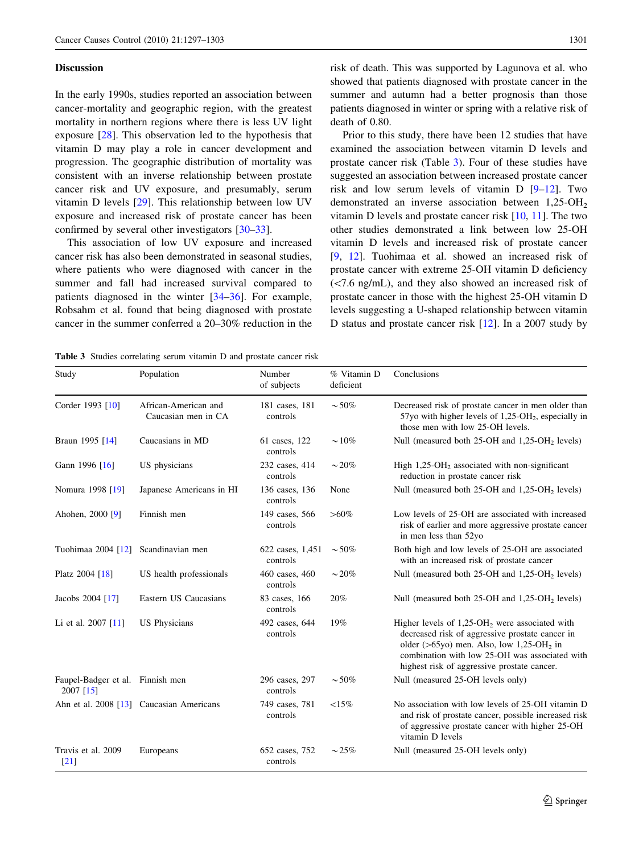## <span id="page-4-0"></span>**Discussion**

In the early 1990s, studies reported an association between cancer-mortality and geographic region, with the greatest mortality in northern regions where there is less UV light exposure [[28\]](#page-6-0). This observation led to the hypothesis that vitamin D may play a role in cancer development and progression. The geographic distribution of mortality was consistent with an inverse relationship between prostate cancer risk and UV exposure, and presumably, serum vitamin D levels [[29\]](#page-6-0). This relationship between low UV exposure and increased risk of prostate cancer has been confirmed by several other investigators [[30–33\]](#page-6-0).

This association of low UV exposure and increased cancer risk has also been demonstrated in seasonal studies, where patients who were diagnosed with cancer in the summer and fall had increased survival compared to patients diagnosed in the winter [[34–36\]](#page-6-0). For example, Robsahm et al. found that being diagnosed with prostate cancer in the summer conferred a 20–30% reduction in the risk of death. This was supported by Lagunova et al. who showed that patients diagnosed with prostate cancer in the summer and autumn had a better prognosis than those patients diagnosed in winter or spring with a relative risk of death of 0.80.

Prior to this study, there have been 12 studies that have examined the association between vitamin D levels and prostate cancer risk (Table 3). Four of these studies have suggested an association between increased prostate cancer risk and low serum levels of vitamin D [\[9–12](#page-6-0)]. Two demonstrated an inverse association between  $1,25$ -OH<sub>2</sub> vitamin D levels and prostate cancer risk [\[10](#page-6-0), [11](#page-6-0)]. The two other studies demonstrated a link between low 25-OH vitamin D levels and increased risk of prostate cancer [\[9](#page-6-0), [12\]](#page-6-0). Tuohimaa et al. showed an increased risk of prostate cancer with extreme 25-OH vitamin D deficiency  $\langle$  <7.6 ng/mL), and they also showed an increased risk of prostate cancer in those with the highest 25-OH vitamin D levels suggesting a U-shaped relationship between vitamin D status and prostate cancer risk [\[12](#page-6-0)]. In a 2007 study by

Table 3 Studies correlating serum vitamin D and prostate cancer risk

| Study                                           | Population                                  | Number<br>of subjects        | % Vitamin D<br>deficient | Conclusions                                                                                                                                                                                                                                                                   |
|-------------------------------------------------|---------------------------------------------|------------------------------|--------------------------|-------------------------------------------------------------------------------------------------------------------------------------------------------------------------------------------------------------------------------------------------------------------------------|
| Corder 1993 [10]                                | African-American and<br>Caucasian men in CA | 181 cases, 181<br>controls   | $\sim$ 50%               | Decreased risk of prostate cancer in men older than<br>57yo with higher levels of $1,25$ -OH <sub>2</sub> , especially in<br>those men with low 25-OH levels.                                                                                                                 |
| Braun 1995 [14]                                 | Caucasians in MD                            | 61 cases, 122<br>controls    | $\sim 10\%$              | Null (measured both 25-OH and 1,25-OH <sub>2</sub> levels)                                                                                                                                                                                                                    |
| Gann 1996 [16]                                  | US physicians                               | 232 cases, 414<br>controls   | $\sim$ 20%               | High $1,25$ -OH <sub>2</sub> associated with non-significant<br>reduction in prostate cancer risk                                                                                                                                                                             |
| Nomura 1998 [19]                                | Japanese Americans in HI                    | 136 cases, 136<br>controls   | None                     | Null (measured both 25-OH and 1,25-OH <sub>2</sub> levels)                                                                                                                                                                                                                    |
| Ahohen, 2000 [9]                                | Finnish men                                 | 149 cases, 566<br>controls   | $> 60\%$                 | Low levels of 25-OH are associated with increased<br>risk of earlier and more aggressive prostate cancer<br>in men less than 52yo                                                                                                                                             |
| Tuohimaa 2004 [12]                              | Scandinavian men                            | 622 cases, 1,451<br>controls | $\sim$ 50%               | Both high and low levels of 25-OH are associated<br>with an increased risk of prostate cancer                                                                                                                                                                                 |
| Platz 2004 [18]                                 | US health professionals                     | 460 cases, 460<br>controls   | $\sim$ 20%               | Null (measured both 25-OH and 1,25-OH <sub>2</sub> levels)                                                                                                                                                                                                                    |
| Jacobs 2004 [17]                                | Eastern US Caucasians                       | 83 cases, 166<br>controls    | 20%                      | Null (measured both $25$ -OH and $1,25$ -OH <sub>2</sub> levels)                                                                                                                                                                                                              |
| Li et al. 2007 [11]                             | <b>US</b> Physicians                        | 492 cases, 644<br>controls   | 19%                      | Higher levels of $1,25$ -OH <sub>2</sub> were associated with<br>decreased risk of aggressive prostate cancer in<br>older ( $>65$ yo) men. Also, low 1,25-OH <sub>2</sub> in<br>combination with low 25-OH was associated with<br>highest risk of aggressive prostate cancer. |
| Faupel-Badger et al. Finnish men<br>$2007$ [15] |                                             | 296 cases, 297<br>controls   | $\sim$ 50%               | Null (measured 25-OH levels only)                                                                                                                                                                                                                                             |
|                                                 | Ahn et al. 2008 [13] Caucasian Americans    | 749 cases, 781<br>controls   | ${<}15\%$                | No association with low levels of 25-OH vitamin D<br>and risk of prostate cancer, possible increased risk<br>of aggressive prostate cancer with higher 25-OH<br>vitamin D levels                                                                                              |
| Travis et al. 2009<br>[21]                      | Europeans                                   | 652 cases, 752<br>controls   | $\sim$ 25%               | Null (measured 25-OH levels only)                                                                                                                                                                                                                                             |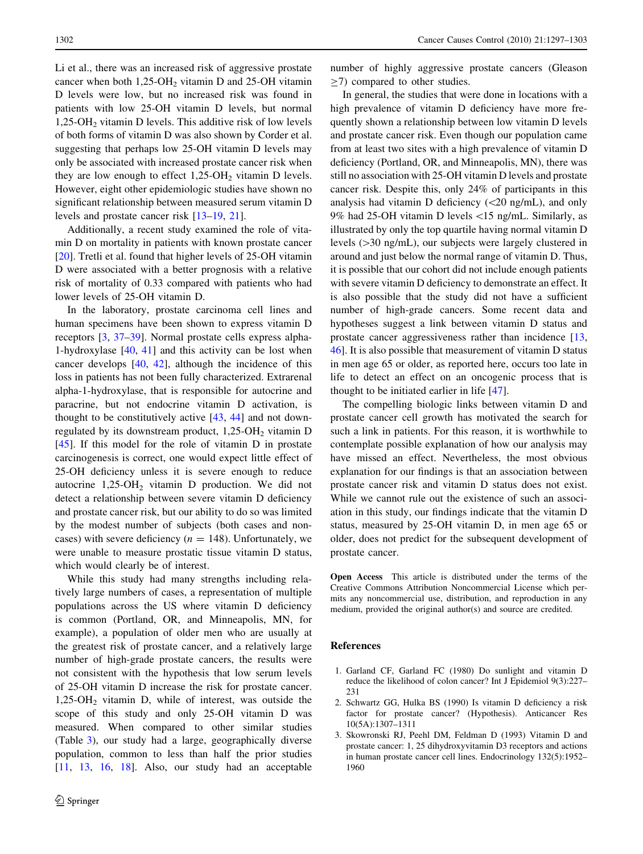<span id="page-5-0"></span>Li et al., there was an increased risk of aggressive prostate cancer when both  $1,25$ -OH<sub>2</sub> vitamin D and 25-OH vitamin D levels were low, but no increased risk was found in patients with low 25-OH vitamin D levels, but normal 1,25-OH2 vitamin D levels. This additive risk of low levels of both forms of vitamin D was also shown by Corder et al. suggesting that perhaps low 25-OH vitamin D levels may only be associated with increased prostate cancer risk when they are low enough to effect  $1,25$ -OH<sub>2</sub> vitamin D levels. However, eight other epidemiologic studies have shown no significant relationship between measured serum vitamin D levels and prostate cancer risk [[13–19,](#page-6-0) [21](#page-6-0)].

Additionally, a recent study examined the role of vitamin D on mortality in patients with known prostate cancer [\[20](#page-6-0)]. Tretli et al. found that higher levels of 25-OH vitamin D were associated with a better prognosis with a relative risk of mortality of 0.33 compared with patients who had lower levels of 25-OH vitamin D.

In the laboratory, prostate carcinoma cell lines and human specimens have been shown to express vitamin D receptors [3, [37–39](#page-6-0)]. Normal prostate cells express alpha-1-hydroxylase [\[40](#page-6-0), [41](#page-6-0)] and this activity can be lost when cancer develops [\[40](#page-6-0), [42](#page-6-0)], although the incidence of this loss in patients has not been fully characterized. Extrarenal alpha-1-hydroxylase, that is responsible for autocrine and paracrine, but not endocrine vitamin D activation, is thought to be constitutively active  $[43, 44]$  $[43, 44]$  $[43, 44]$  $[43, 44]$  and not downregulated by its downstream product,  $1,25$ -OH<sub>2</sub> vitamin D [\[45](#page-6-0)]. If this model for the role of vitamin D in prostate carcinogenesis is correct, one would expect little effect of 25-OH deficiency unless it is severe enough to reduce autocrine  $1,25$ -OH<sub>2</sub> vitamin D production. We did not detect a relationship between severe vitamin D deficiency and prostate cancer risk, but our ability to do so was limited by the modest number of subjects (both cases and noncases) with severe deficiency ( $n = 148$ ). Unfortunately, we were unable to measure prostatic tissue vitamin D status, which would clearly be of interest.

While this study had many strengths including relatively large numbers of cases, a representation of multiple populations across the US where vitamin D deficiency is common (Portland, OR, and Minneapolis, MN, for example), a population of older men who are usually at the greatest risk of prostate cancer, and a relatively large number of high-grade prostate cancers, the results were not consistent with the hypothesis that low serum levels of 25-OH vitamin D increase the risk for prostate cancer. 1,25-OH2 vitamin D, while of interest, was outside the scope of this study and only 25-OH vitamin D was measured. When compared to other similar studies (Table [3](#page-4-0)), our study had a large, geographically diverse population, common to less than half the prior studies  $[11, 13, 16, 18]$  $[11, 13, 16, 18]$  $[11, 13, 16, 18]$  $[11, 13, 16, 18]$  $[11, 13, 16, 18]$  $[11, 13, 16, 18]$  $[11, 13, 16, 18]$  $[11, 13, 16, 18]$ . Also, our study had an acceptable number of highly aggressive prostate cancers (Gleason  $\geq$ 7) compared to other studies.

In general, the studies that were done in locations with a high prevalence of vitamin D deficiency have more frequently shown a relationship between low vitamin D levels and prostate cancer risk. Even though our population came from at least two sites with a high prevalence of vitamin D deficiency (Portland, OR, and Minneapolis, MN), there was still no association with 25-OH vitamin D levels and prostate cancer risk. Despite this, only 24% of participants in this analysis had vitamin D deficiency  $(<20$  ng/mL), and only 9% had 25-OH vitamin D levels\15 ng/mL. Similarly, as illustrated by only the top quartile having normal vitamin D levels  $(>=30 \text{ ng/mL})$ , our subjects were largely clustered in around and just below the normal range of vitamin D. Thus, it is possible that our cohort did not include enough patients with severe vitamin D deficiency to demonstrate an effect. It is also possible that the study did not have a sufficient number of high-grade cancers. Some recent data and hypotheses suggest a link between vitamin D status and prostate cancer aggressiveness rather than incidence [[13,](#page-6-0) [46](#page-6-0)]. It is also possible that measurement of vitamin D status in men age 65 or older, as reported here, occurs too late in life to detect an effect on an oncogenic process that is thought to be initiated earlier in life [[47\]](#page-6-0).

The compelling biologic links between vitamin D and prostate cancer cell growth has motivated the search for such a link in patients. For this reason, it is worthwhile to contemplate possible explanation of how our analysis may have missed an effect. Nevertheless, the most obvious explanation for our findings is that an association between prostate cancer risk and vitamin D status does not exist. While we cannot rule out the existence of such an association in this study, our findings indicate that the vitamin D status, measured by 25-OH vitamin D, in men age 65 or older, does not predict for the subsequent development of prostate cancer.

Open Access This article is distributed under the terms of the Creative Commons Attribution Noncommercial License which permits any noncommercial use, distribution, and reproduction in any medium, provided the original author(s) and source are credited.

#### References

- 1. Garland CF, Garland FC (1980) Do sunlight and vitamin D reduce the likelihood of colon cancer? Int J Epidemiol 9(3):227– 231
- 2. Schwartz GG, Hulka BS (1990) Is vitamin D deficiency a risk factor for prostate cancer? (Hypothesis). Anticancer Res 10(5A):1307–1311
- 3. Skowronski RJ, Peehl DM, Feldman D (1993) Vitamin D and prostate cancer: 1, 25 dihydroxyvitamin D3 receptors and actions in human prostate cancer cell lines. Endocrinology 132(5):1952– 1960